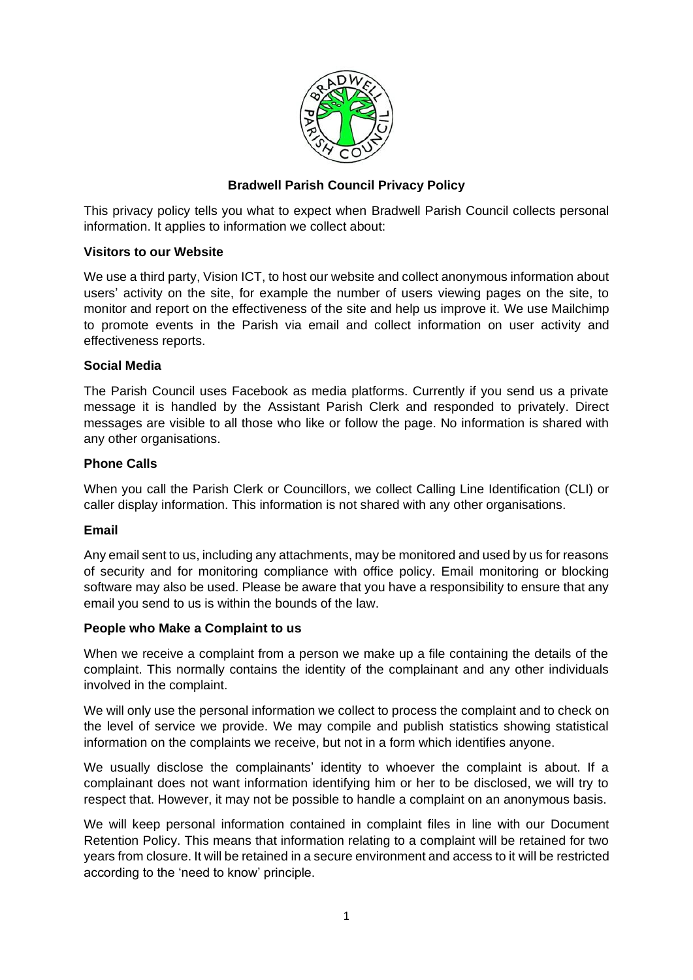

# **Bradwell Parish Council Privacy Policy**

This privacy policy tells you what to expect when Bradwell Parish Council collects personal information. It applies to information we collect about:

### **Visitors to our Website**

We use a third party, Vision ICT, to host our website and collect anonymous information about users' activity on the site, for example the number of users viewing pages on the site, to monitor and report on the effectiveness of the site and help us improve it. We use Mailchimp to promote events in the Parish via email and collect information on user activity and effectiveness reports.

### **Social Media**

The Parish Council uses Facebook as media platforms. Currently if you send us a private message it is handled by the Assistant Parish Clerk and responded to privately. Direct messages are visible to all those who like or follow the page. No information is shared with any other organisations.

# **Phone Calls**

When you call the Parish Clerk or Councillors, we collect Calling Line Identification (CLI) or caller display information. This information is not shared with any other organisations.

### **Email**

Any email sent to us, including any attachments, may be monitored and used by us for reasons of security and for monitoring compliance with office policy. Email monitoring or blocking software may also be used. Please be aware that you have a responsibility to ensure that any email you send to us is within the bounds of the law.

### **People who Make a Complaint to us**

When we receive a complaint from a person we make up a file containing the details of the complaint. This normally contains the identity of the complainant and any other individuals involved in the complaint.

We will only use the personal information we collect to process the complaint and to check on the level of service we provide. We may compile and publish statistics showing statistical information on the complaints we receive, but not in a form which identifies anyone.

We usually disclose the complainants' identity to whoever the complaint is about. If a complainant does not want information identifying him or her to be disclosed, we will try to respect that. However, it may not be possible to handle a complaint on an anonymous basis.

We will keep personal information contained in complaint files in line with our Document Retention Policy. This means that information relating to a complaint will be retained for two years from closure. It will be retained in a secure environment and access to it will be restricted according to the 'need to know' principle.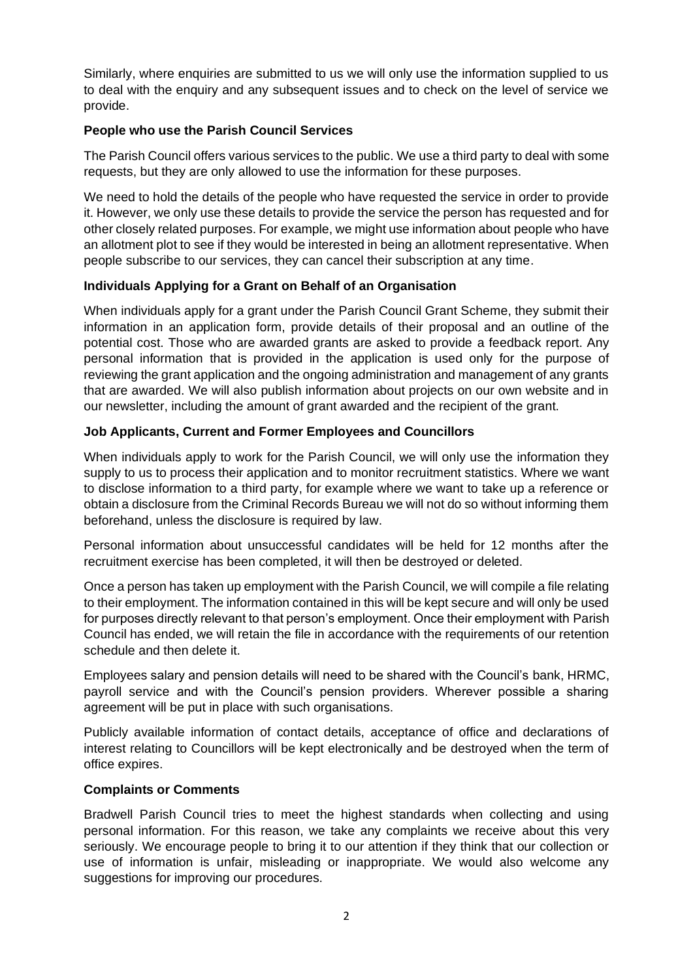Similarly, where enquiries are submitted to us we will only use the information supplied to us to deal with the enquiry and any subsequent issues and to check on the level of service we provide.

### **People who use the Parish Council Services**

The Parish Council offers various services to the public. We use a third party to deal with some requests, but they are only allowed to use the information for these purposes.

We need to hold the details of the people who have requested the service in order to provide it. However, we only use these details to provide the service the person has requested and for other closely related purposes. For example, we might use information about people who have an allotment plot to see if they would be interested in being an allotment representative. When people subscribe to our services, they can cancel their subscription at any time.

# **Individuals Applying for a Grant on Behalf of an Organisation**

When individuals apply for a grant under the Parish Council Grant Scheme, they submit their information in an application form, provide details of their proposal and an outline of the potential cost. Those who are awarded grants are asked to provide a feedback report. Any personal information that is provided in the application is used only for the purpose of reviewing the grant application and the ongoing administration and management of any grants that are awarded. We will also publish information about projects on our own website and in our newsletter, including the amount of grant awarded and the recipient of the grant.

# **Job Applicants, Current and Former Employees and Councillors**

When individuals apply to work for the Parish Council, we will only use the information they supply to us to process their application and to monitor recruitment statistics. Where we want to disclose information to a third party, for example where we want to take up a reference or obtain a disclosure from the Criminal Records Bureau we will not do so without informing them beforehand, unless the disclosure is required by law.

Personal information about unsuccessful candidates will be held for 12 months after the recruitment exercise has been completed, it will then be destroyed or deleted.

Once a person has taken up employment with the Parish Council, we will compile a file relating to their employment. The information contained in this will be kept secure and will only be used for purposes directly relevant to that person's employment. Once their employment with Parish Council has ended, we will retain the file in accordance with the requirements of our retention schedule and then delete it.

Employees salary and pension details will need to be shared with the Council's bank, HRMC, payroll service and with the Council's pension providers. Wherever possible a sharing agreement will be put in place with such organisations.

Publicly available information of contact details, acceptance of office and declarations of interest relating to Councillors will be kept electronically and be destroyed when the term of office expires.

### **Complaints or Comments**

Bradwell Parish Council tries to meet the highest standards when collecting and using personal information. For this reason, we take any complaints we receive about this very seriously. We encourage people to bring it to our attention if they think that our collection or use of information is unfair, misleading or inappropriate. We would also welcome any suggestions for improving our procedures.